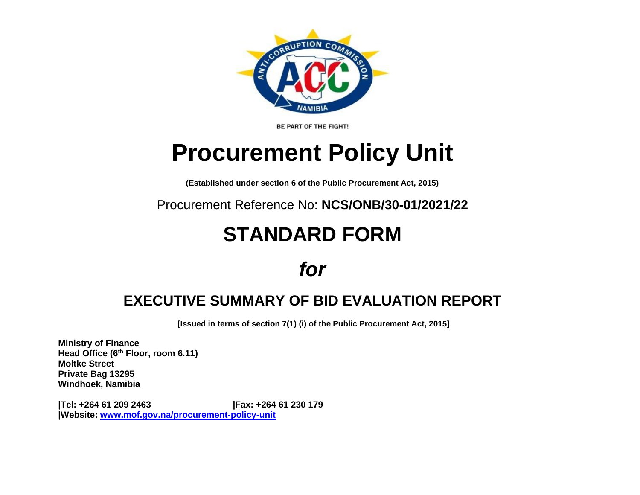

BE PART OF THE FIGHT!

# **Procurement Policy Unit**

**(Established under section 6 of the Public Procurement Act, 2015)**

Procurement Reference No: **NCS/ONB/30-01/2021/22**

## **STANDARD FORM**

### *for*

### **EXECUTIVE SUMMARY OF BID EVALUATION REPORT**

**[Issued in terms of section 7(1) (i) of the Public Procurement Act, 2015]** 

**Ministry of Finance Head Office (6th Floor, room 6.11) Moltke Street Private Bag 13295 Windhoek, Namibia**

**|Tel: +264 61 209 2463 |Fax: +264 61 230 179 |Website: [www.mof.gov.na/procurement-policy-unit](http://www.mof.gov.na/procurement-policy-unit)**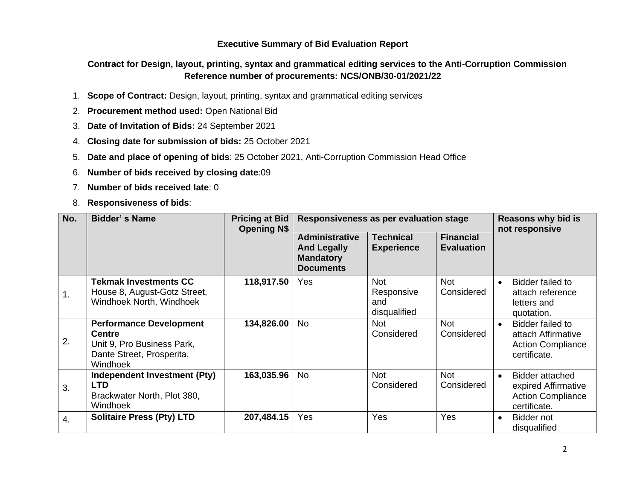#### **Executive Summary of Bid Evaluation Report**

#### **Contract for Design, layout, printing, syntax and grammatical editing services to the Anti-Corruption Commission Reference number of procurements: NCS/ONB/30-01/2021/22**

- 1. **Scope of Contract:** Design, layout, printing, syntax and grammatical editing services
- 2. **Procurement method used:** Open National Bid
- 3. **Date of Invitation of Bids:** 24 September 2021
- 4. **Closing date for submission of bids:** 25 October 2021
- 5. **Date and place of opening of bids**: 25 October 2021, Anti-Corruption Commission Head Office
- 6. **Number of bids received by closing date**:09
- 7. **Number of bids received late**: 0
- 8. **Responsiveness of bids**:

| No. | <b>Bidder's Name</b>                                                                                                   | <b>Pricing at Bid</b><br><b>Opening N\$</b> | Responsiveness as per evaluation stage                                              |                                                 |                                       | <b>Reasons why bid is</b><br>not responsive                                                     |  |
|-----|------------------------------------------------------------------------------------------------------------------------|---------------------------------------------|-------------------------------------------------------------------------------------|-------------------------------------------------|---------------------------------------|-------------------------------------------------------------------------------------------------|--|
|     |                                                                                                                        |                                             | <b>Administrative</b><br><b>And Legally</b><br><b>Mandatory</b><br><b>Documents</b> | <b>Technical</b><br><b>Experience</b>           | <b>Financial</b><br><b>Evaluation</b> |                                                                                                 |  |
| 1.  | <b>Tekmak Investments CC</b><br>House 8, August-Gotz Street,<br>Windhoek North, Windhoek                               | 118,917.50                                  | Yes                                                                                 | <b>Not</b><br>Responsive<br>and<br>disqualified | <b>Not</b><br>Considered              | Bidder failed to<br>$\bullet$<br>attach reference<br>letters and<br>quotation.                  |  |
| 2.  | <b>Performance Development</b><br><b>Centre</b><br>Unit 9, Pro Business Park,<br>Dante Street, Prosperita,<br>Windhoek | 134,826.00                                  | <b>No</b>                                                                           | <b>Not</b><br>Considered                        | <b>Not</b><br>Considered              | Bidder failed to<br>$\bullet$<br>attach Affirmative<br><b>Action Compliance</b><br>certificate. |  |
| 3.  | Independent Investment (Pty)<br><b>LTD</b><br>Brackwater North, Plot 380,<br>Windhoek                                  | 163,035.96                                  | <b>No</b>                                                                           | <b>Not</b><br>Considered                        | <b>Not</b><br>Considered              | Bidder attached<br>$\bullet$<br>expired Affirmative<br><b>Action Compliance</b><br>certificate. |  |
| 4.  | <b>Solitaire Press (Pty) LTD</b>                                                                                       | 207,484.15                                  | Yes                                                                                 | Yes                                             | Yes                                   | Bidder not<br>$\bullet$<br>disqualified                                                         |  |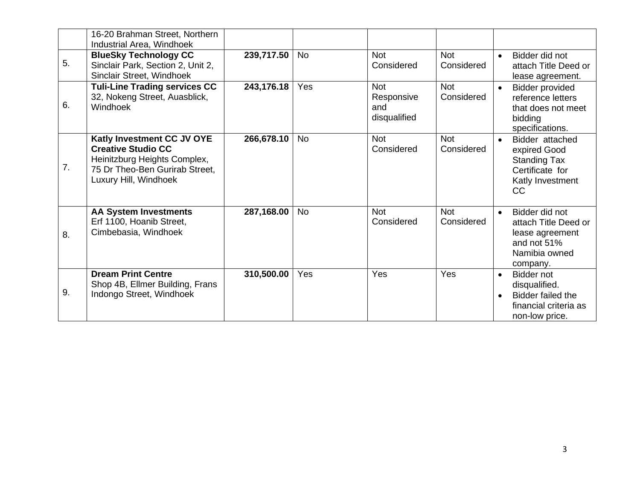|    | 16-20 Brahman Street, Northern<br>Industrial Area, Windhoek                                                                                        |            |           |                                                 |                          |                                                                                                                       |
|----|----------------------------------------------------------------------------------------------------------------------------------------------------|------------|-----------|-------------------------------------------------|--------------------------|-----------------------------------------------------------------------------------------------------------------------|
| 5. | <b>BlueSky Technology CC</b><br>Sinclair Park, Section 2, Unit 2,<br>Sinclair Street, Windhoek                                                     | 239,717.50 | No        | <b>Not</b><br>Considered                        | <b>Not</b><br>Considered | Bidder did not<br>$\bullet$<br>attach Title Deed or<br>lease agreement.                                               |
| 6. | <b>Tuli-Line Trading services CC</b><br>32, Nokeng Street, Auasblick,<br>Windhoek                                                                  | 243,176.18 | Yes       | <b>Not</b><br>Responsive<br>and<br>disqualified | <b>Not</b><br>Considered | <b>Bidder provided</b><br>$\bullet$<br>reference letters<br>that does not meet<br>bidding<br>specifications.          |
| 7. | Katly Investment CC JV OYE<br><b>Creative Studio CC</b><br>Heinitzburg Heights Complex,<br>75 Dr Theo-Ben Gurirab Street,<br>Luxury Hill, Windhoek | 266,678.10 | <b>No</b> | <b>Not</b><br>Considered                        | <b>Not</b><br>Considered | Bidder attached<br>$\bullet$<br>expired Good<br><b>Standing Tax</b><br>Certificate for<br>Katly Investment<br>CC      |
| 8. | <b>AA System Investments</b><br>Erf 1100, Hoanib Street,<br>Cimbebasia, Windhoek                                                                   | 287,168.00 | <b>No</b> | <b>Not</b><br>Considered                        | <b>Not</b><br>Considered | Bidder did not<br>$\bullet$<br>attach Title Deed or<br>lease agreement<br>and not 51%<br>Namibia owned<br>company.    |
| 9. | <b>Dream Print Centre</b><br>Shop 4B, Ellmer Building, Frans<br>Indongo Street, Windhoek                                                           | 310,500.00 | Yes       | Yes                                             | Yes                      | Bidder not<br>$\bullet$<br>disqualified.<br>Bidder failed the<br>$\bullet$<br>financial criteria as<br>non-low price. |